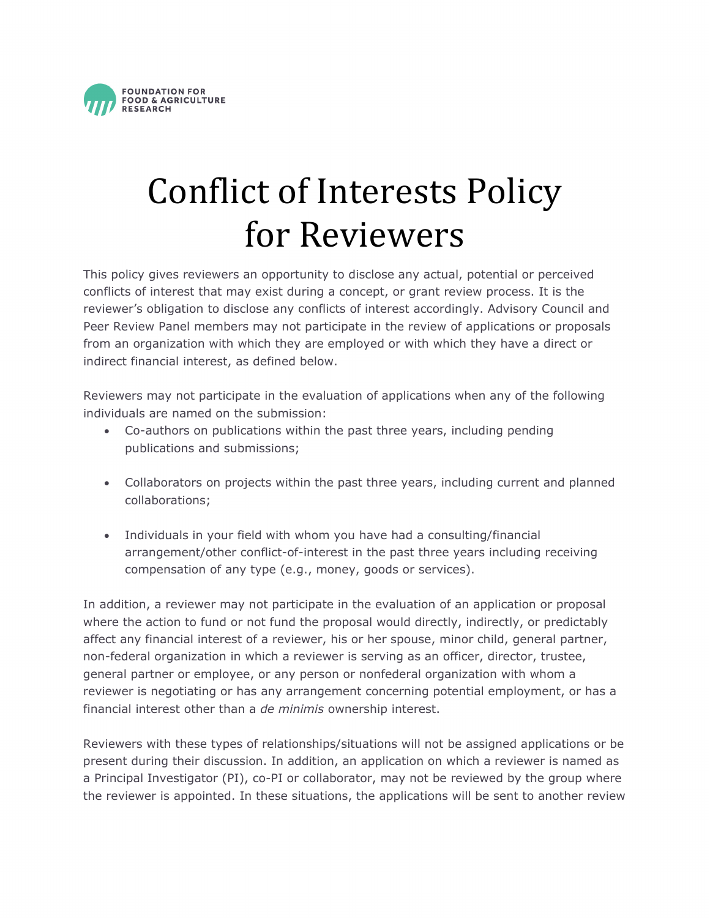

## Conflict of Interests Policy for Reviewers

This policy gives reviewers an opportunity to disclose any actual, potential or perceived conflicts of interest that may exist during a concept, or grant review process. It is the reviewer's obligation to disclose any conflicts of interest accordingly. Advisory Council and Peer Review Panel members may not participate in the review of applications or proposals from an organization with which they are employed or with which they have a direct or indirect financial interest, as defined below.

Reviewers may not participate in the evaluation of applications when any of the following individuals are named on the submission:

- Co-authors on publications within the past three years, including pending publications and submissions;
- Collaborators on projects within the past three years, including current and planned collaborations;
- Individuals in your field with whom you have had a consulting/financial arrangement/other conflict-of-interest in the past three years including receiving compensation of any type (e.g., money, goods or services).

In addition, a reviewer may not participate in the evaluation of an application or proposal where the action to fund or not fund the proposal would directly, indirectly, or predictably affect any financial interest of a reviewer, his or her spouse, minor child, general partner, non-federal organization in which a reviewer is serving as an officer, director, trustee, general partner or employee, or any person or nonfederal organization with whom a reviewer is negotiating or has any arrangement concerning potential employment, or has a financial interest other than a *de minimis* ownership interest.

Reviewers with these types of relationships/situations will not be assigned applications or be present during their discussion. In addition, an application on which a reviewer is named as a Principal Investigator (PI), co-PI or collaborator, may not be reviewed by the group where the reviewer is appointed. In these situations, the applications will be sent to another review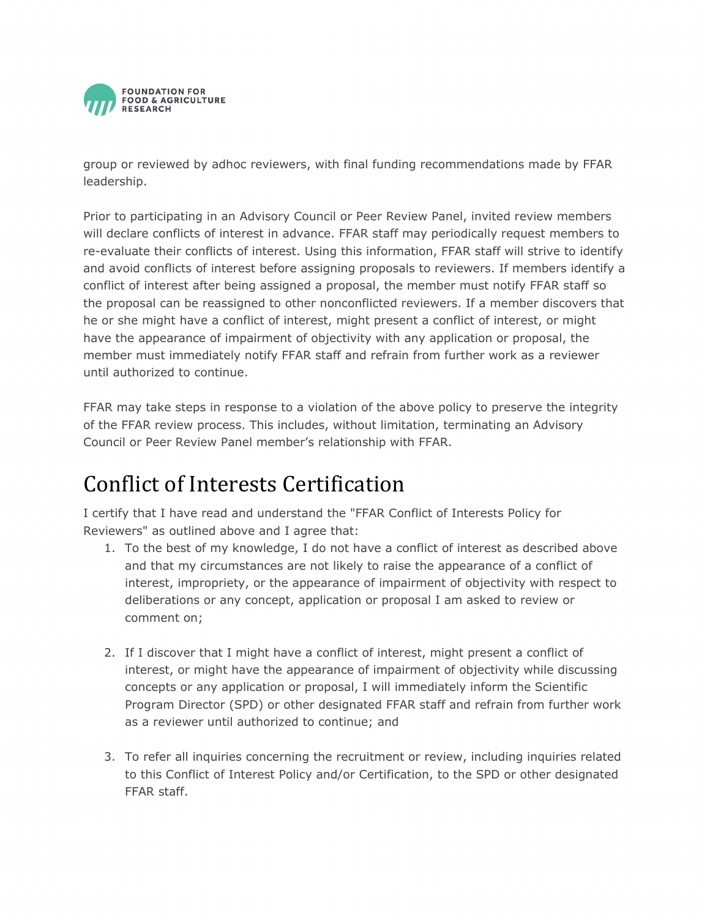

group or reviewed by adhoc reviewers, with final funding recommendations made by FFAR leadership.

Prior to participating in an Advisory Council or Peer Review Panel, invited review members will declare conflicts of interest in advance. FFAR staff may periodically request members to re-evaluate their conflicts of interest. Using this information, FFAR staff will strive to identify and avoid conflicts of interest before assigning proposals to reviewers. If members identify a conflict of interest after being assigned a proposal, the member must notify FFAR staff so the proposal can be reassigned to other nonconflicted reviewers. If a member discovers that he or she might have a conflict of interest, might present a conflict of interest, or might have the appearance of impairment of objectivity with any application or proposal, the member must immediately notify FFAR staff and refrain from further work as a reviewer until authorized to continue.

FFAR may take steps in response to a violation of the above policy to preserve the integrity of the FFAR review process. This includes, without limitation, terminating an Advisory Council or Peer Review Panel member's relationship with FFAR.

## Conflict of Interests Certification

I certify that I have read and understand the "FFAR Conflict of Interests Policy for Reviewers" as outlined above and I agree that:

- 1. To the best of my knowledge, I do not have a conflict of interest as described above and that my circumstances are not likely to raise the appearance of a conflict of interest, impropriety, or the appearance of impairment of objectivity with respect to deliberations or any concept, application or proposal I am asked to review or comment on;
- 2. If I discover that I might have a conflict of interest, might present a conflict of interest, or might have the appearance of impairment of objectivity while discussing concepts or any application or proposal, I will immediately inform the Scientific Program Director (SPD) or other designated FFAR staff and refrain from further work as a reviewer until authorized to continue; and
- 3. To refer all inquiries concerning the recruitment or review, including inquiries related to this Conflict of Interest Policy and/or Certification, to the SPD or other designated FFAR staff.